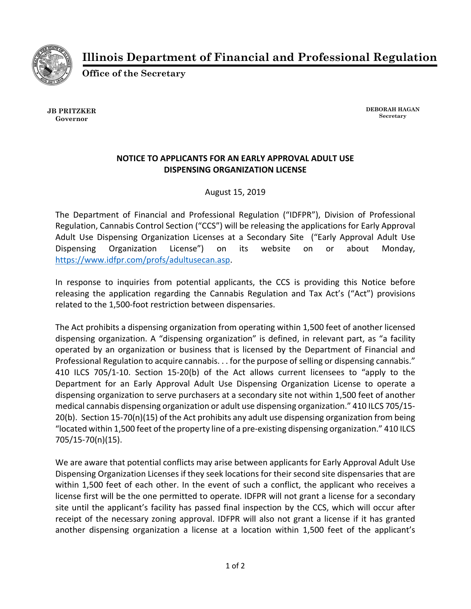

**Illinois Department of Financial and Professional Regulation** 

**Office of the Secretary** 

**JB PRITZKER Governor** 

**DEBORAH HAGAN Secretary**

## **NOTICE TO APPLICANTS FOR AN EARLY APPROVAL ADULT USE DISPENSING ORGANIZATION LICENSE**

August 15, 2019

The Department of Financial and Professional Regulation ("IDFPR"), Division of Professional Regulation, Cannabis Control Section ("CCS") will be releasing the applications for Early Approval Adult Use Dispensing Organization Licenses at a Secondary Site ("Early Approval Adult Use Dispensing Organization License") on its website on or about Monday, https://www.idfpr.com/profs/adultusecan.asp.

In response to inquiries from potential applicants, the CCS is providing this Notice before releasing the application regarding the Cannabis Regulation and Tax Act's ("Act") provisions related to the 1,500‐foot restriction between dispensaries.

The Act prohibits a dispensing organization from operating within 1,500 feet of another licensed dispensing organization. A "dispensing organization" is defined, in relevant part, as "a facility operated by an organization or business that is licensed by the Department of Financial and Professional Regulation to acquire cannabis. . . for the purpose of selling or dispensing cannabis." 410 ILCS 705/1‐10. Section 15‐20(b) of the Act allows current licensees to "apply to the Department for an Early Approval Adult Use Dispensing Organization License to operate a dispensing organization to serve purchasers at a secondary site not within 1,500 feet of another medical cannabis dispensing organization or adult use dispensing organization." 410 ILCS 705/15‐ 20(b). Section 15‐70(n)(15) of the Act prohibits any adult use dispensing organization from being "located within 1,500 feet of the property line of a pre‐existing dispensing organization." 410 ILCS 705/15‐70(n)(15).

We are aware that potential conflicts may arise between applicants for Early Approval Adult Use Dispensing Organization Licenses if they seek locations for their second site dispensaries that are within 1,500 feet of each other. In the event of such a conflict, the applicant who receives a license first will be the one permitted to operate. IDFPR will not grant a license for a secondary site until the applicant's facility has passed final inspection by the CCS, which will occur after receipt of the necessary zoning approval. IDFPR will also not grant a license if it has granted another dispensing organization a license at a location within 1,500 feet of the applicant's